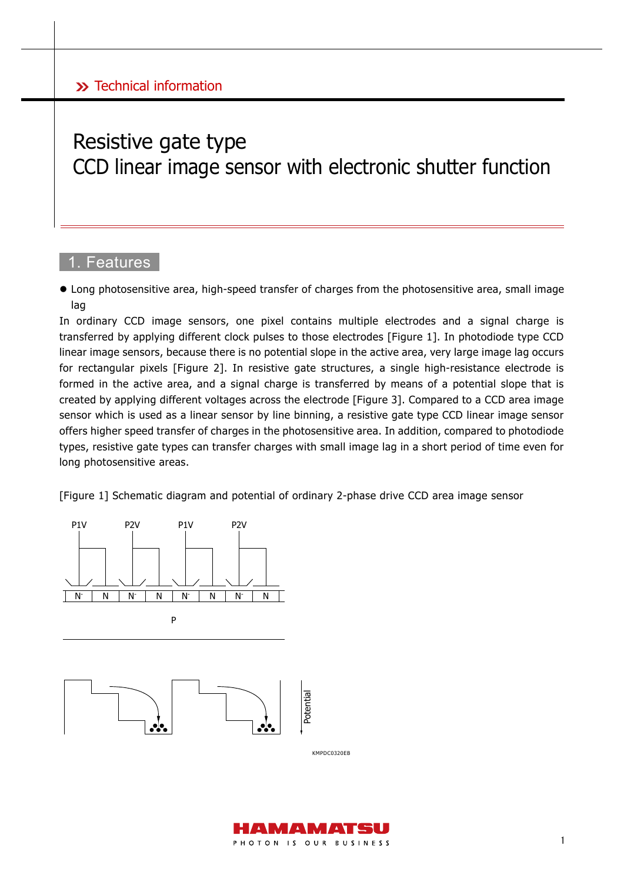# Resistive gate type CCD linear image sensor with electronic shutter function

### 1. Features

 Long photosensitive area, high-speed transfer of charges from the photosensitive area, small image lag

In ordinary CCD image sensors, one pixel contains multiple electrodes and a signal charge is transferred by applying different clock pulses to those electrodes [Figure 1]. In photodiode type CCD linear image sensors, because there is no potential slope in the active area, very large image lag occurs for rectangular pixels [Figure 2]. In resistive gate structures, a single high-resistance electrode is formed in the active area, and a signal charge is transferred by means of a potential slope that is created by applying different voltages across the electrode [Figure 3]. Compared to a CCD area image sensor which is used as a linear sensor by line binning, a resistive gate type CCD linear image sensor offers higher speed transfer of charges in the photosensitive area. In addition, compared to photodiode types, resistive gate types can transfer charges with small image lag in a short period of time even for long photosensitive areas.

[Figure 1] Schematic diagram and potential of ordinary 2-phase drive CCD area image sensor



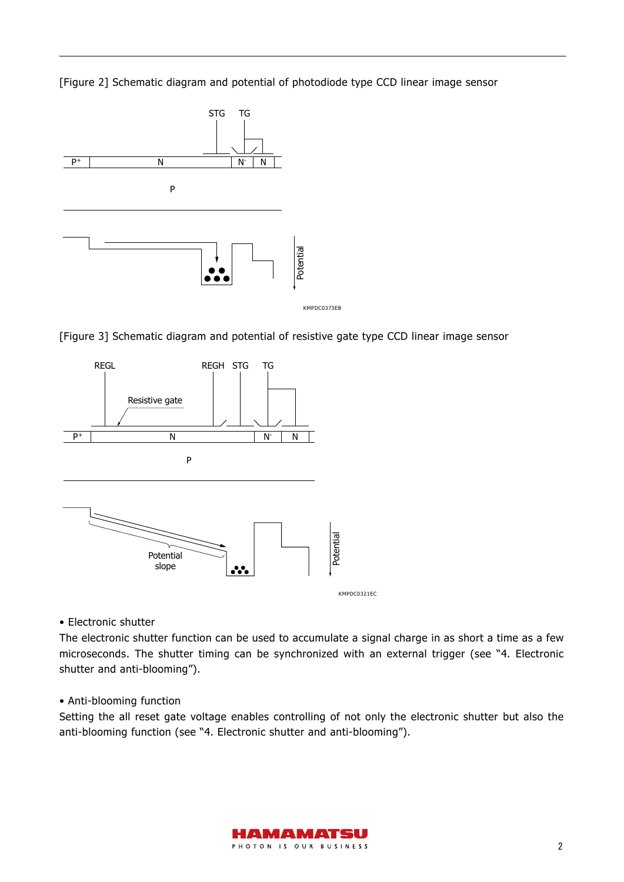[Figure 2] Schematic diagram and potential of photodiode type CCD linear image sensor



[Figure 3] Schematic diagram and potential of resistive gate type CCD linear image sensor



• Electronic shutter

The electronic shutter function can be used to accumulate a signal charge in as short a time as a few microseconds. The shutter timing can be synchronized with an external trigger (see "4. Electronic shutter and anti-blooming").

#### • Anti-blooming function

Setting the all reset gate voltage enables controlling of not only the electronic shutter but also the anti-blooming function (see "4. Electronic shutter and anti-blooming").

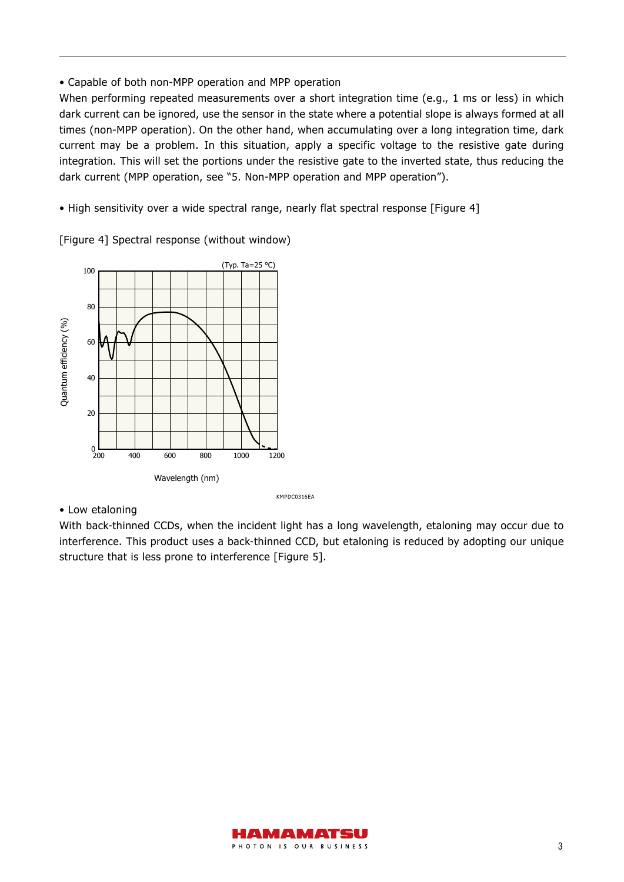• Capable of both non-MPP operation and MPP operation

When performing repeated measurements over a short integration time (e.g., 1 ms or less) in which dark current can be ignored, use the sensor in the state where a potential slope is always formed at all times (non-MPP operation). On the other hand, when accumulating over a long integration time, dark current may be a problem. In this situation, apply a specific voltage to the resistive gate during integration. This will set the portions under the resistive gate to the inverted state, thus reducing the dark current (MPP operation, see "5. Non-MPP operation and MPP operation").

• High sensitivity over a wide spectral range, nearly flat spectral response [Figure 4]

[Figure 4] Spectral response (without window)



#### • Low etaloning

KMPDC0316EA

With back-thinned CCDs, when the incident light has a long wavelength, etaloning may occur due to interference. This product uses a back-thinned CCD, but etaloning is reduced by adopting our unique structure that is less prone to interference [Figure 5].

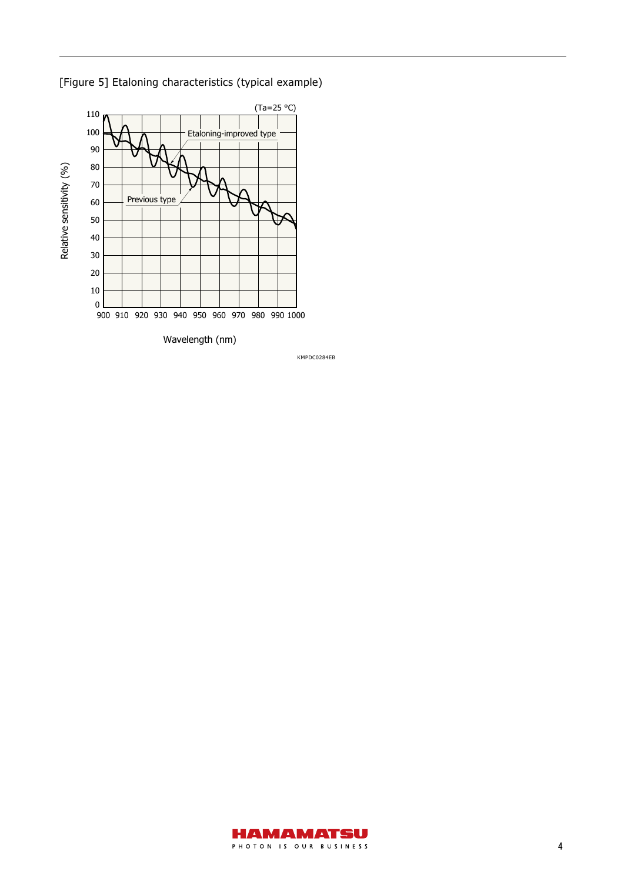

[Figure 5] Etaloning characteristics (typical example)

KMPDC0284EB

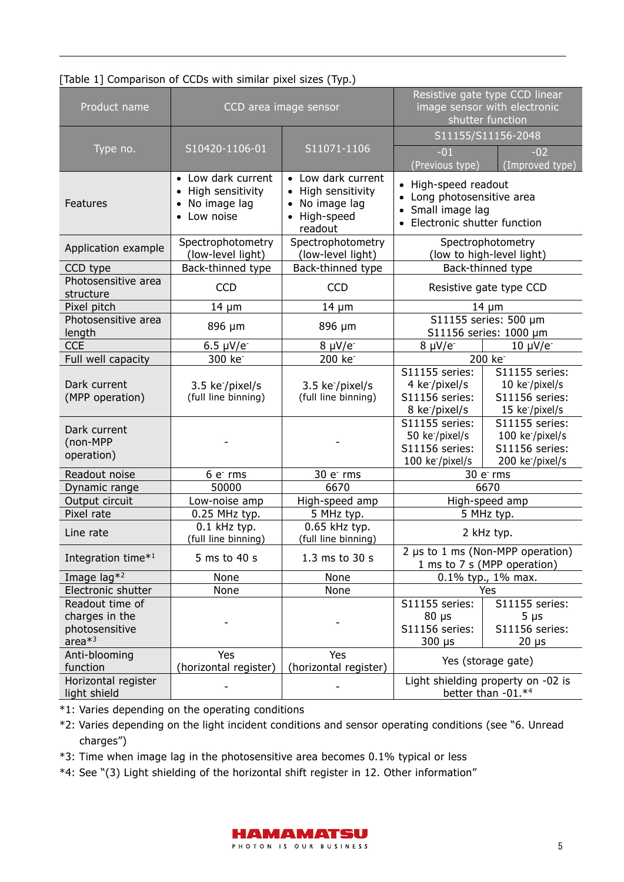| [Table 1] Comparison of CCDs with similar pixel sizes (Typ.) |  |  |  |
|--------------------------------------------------------------|--|--|--|
|                                                              |  |  |  |

| Product name                                              |                                                                                                                                                                             | CCD area image sensor                               | Resistive gate type CCD linear<br>image sensor with electronic<br>shutter function                       |                                                                                                  |  |  |
|-----------------------------------------------------------|-----------------------------------------------------------------------------------------------------------------------------------------------------------------------------|-----------------------------------------------------|----------------------------------------------------------------------------------------------------------|--------------------------------------------------------------------------------------------------|--|--|
|                                                           |                                                                                                                                                                             |                                                     | S11155/S11156-2048                                                                                       |                                                                                                  |  |  |
| Type no.                                                  | S10420-1106-01                                                                                                                                                              | S11071-1106                                         | $-01$<br>(Previous type)                                                                                 | $-02$<br>(Improved type)                                                                         |  |  |
| Features                                                  | Low dark current<br>• Low dark current<br>$\bullet$<br>• High sensitivity<br>• High sensitivity<br>No image lag<br>• No image lag<br>• Low noise<br>• High-speed<br>readout |                                                     | • High-speed readout<br>• Long photosensitive area<br>• Small image lag<br>• Electronic shutter function |                                                                                                  |  |  |
| Application example                                       | Spectrophotometry<br>(low-level light)                                                                                                                                      | Spectrophotometry<br>(low-level light)              | Spectrophotometry<br>(low to high-level light)                                                           |                                                                                                  |  |  |
| CCD type                                                  | Back-thinned type                                                                                                                                                           | Back-thinned type                                   |                                                                                                          | Back-thinned type                                                                                |  |  |
| Photosensitive area<br>structure                          | <b>CCD</b>                                                                                                                                                                  | <b>CCD</b>                                          |                                                                                                          | Resistive gate type CCD                                                                          |  |  |
| Pixel pitch                                               | $14 \mu m$                                                                                                                                                                  | $14 \mu m$                                          |                                                                                                          | $14 \mu m$                                                                                       |  |  |
| Photosensitive area<br>length                             | 896 µm                                                                                                                                                                      | 896 µm                                              |                                                                                                          | S11155 series: 500 µm<br>S11156 series: 1000 µm                                                  |  |  |
| <b>CCE</b>                                                | 6.5 $\mu$ V/e <sup>-</sup>                                                                                                                                                  | $8 \mu V/e^-$                                       | $8 \mu V/e^-$                                                                                            | $10 \mu V/e^-$                                                                                   |  |  |
| Full well capacity                                        | 300 ke <sup>-</sup>                                                                                                                                                         | 200 ke <sup>-</sup>                                 |                                                                                                          | 200 ke <sup>-</sup>                                                                              |  |  |
| Dark current<br>(MPP operation)                           | 3.5 ke <sup>-</sup> /pixel/s<br>(full line binning)                                                                                                                         | 3.5 ke <sup>-</sup> /pixel/s<br>(full line binning) | S11155 series:<br>4 ke <sup>-</sup> /pixel/s<br>S11156 series:<br>8 ke <sup>-</sup> /pixel/s             | S11155 series:<br>10 ke <sup>-</sup> /pixel/s<br>S11156 series:<br>15 ke <sup>-</sup> /pixel/s   |  |  |
| Dark current<br>(non-MPP<br>operation)                    |                                                                                                                                                                             |                                                     | S11155 series:<br>50 ke <sup>-</sup> /pixel/s<br>S11156 series:<br>100 ke <sup>-</sup> /pixel/s          | S11155 series:<br>100 ke <sup>-</sup> /pixel/s<br>S11156 series:<br>200 ke <sup>-</sup> /pixel/s |  |  |
| Readout noise                                             | 6 e <sup>-</sup> rms                                                                                                                                                        | 30 e <sup>-</sup> rms                               | 30 e <sup>-</sup> rms                                                                                    |                                                                                                  |  |  |
| Dynamic range                                             | 50000                                                                                                                                                                       | 6670                                                | 6670                                                                                                     |                                                                                                  |  |  |
| Output circuit                                            | Low-noise amp                                                                                                                                                               | High-speed amp                                      |                                                                                                          | High-speed amp                                                                                   |  |  |
| Pixel rate                                                | 0.25 MHz typ.                                                                                                                                                               | 5 MHz typ.<br>$0.65$ kHz typ.                       |                                                                                                          | 5 MHz typ.                                                                                       |  |  |
| Line rate                                                 | 0.1 kHz typ.<br>(full line binning)                                                                                                                                         |                                                     |                                                                                                          | 2 kHz typ.                                                                                       |  |  |
| Integration time*1                                        | 5 ms to 40 s                                                                                                                                                                | 1.3 ms to 30 s                                      | 2 µs to 1 ms (Non-MPP operation)<br>1 ms to 7 s (MPP operation)                                          |                                                                                                  |  |  |
| Image lag <sup>*2</sup><br>None                           |                                                                                                                                                                             | None<br>None                                        |                                                                                                          | $0.1\%$ typ., 1% max.                                                                            |  |  |
| Electronic shutter                                        | None                                                                                                                                                                        |                                                     |                                                                                                          | Yes                                                                                              |  |  |
| Readout time of                                           |                                                                                                                                                                             |                                                     | S11155 series:                                                                                           | S11155 series:                                                                                   |  |  |
| charges in the                                            |                                                                                                                                                                             |                                                     | $80 \mu s$                                                                                               | $5 \mu s$                                                                                        |  |  |
| photosensitive<br>area $*3$                               |                                                                                                                                                                             |                                                     | S11156 series:<br>$300 \mu s$                                                                            | S11156 series:<br>$20 \mu s$                                                                     |  |  |
| Anti-blooming<br>Yes<br>(horizontal register)<br>function |                                                                                                                                                                             | Yes<br>(horizontal register)                        |                                                                                                          | Yes (storage gate)                                                                               |  |  |
| Horizontal register<br>light shield                       |                                                                                                                                                                             |                                                     | Light shielding property on -02 is<br>better than -01.*4                                                 |                                                                                                  |  |  |

\*1: Varies depending on the operating conditions

- \*2: Varies depending on the light incident conditions and sensor operating conditions (see "6. Unread charges")
- \*3: Time when image lag in the photosensitive area becomes 0.1% typical or less
- \*4: See "(3) Light shielding of the horizontal shift register in 12. Other information"

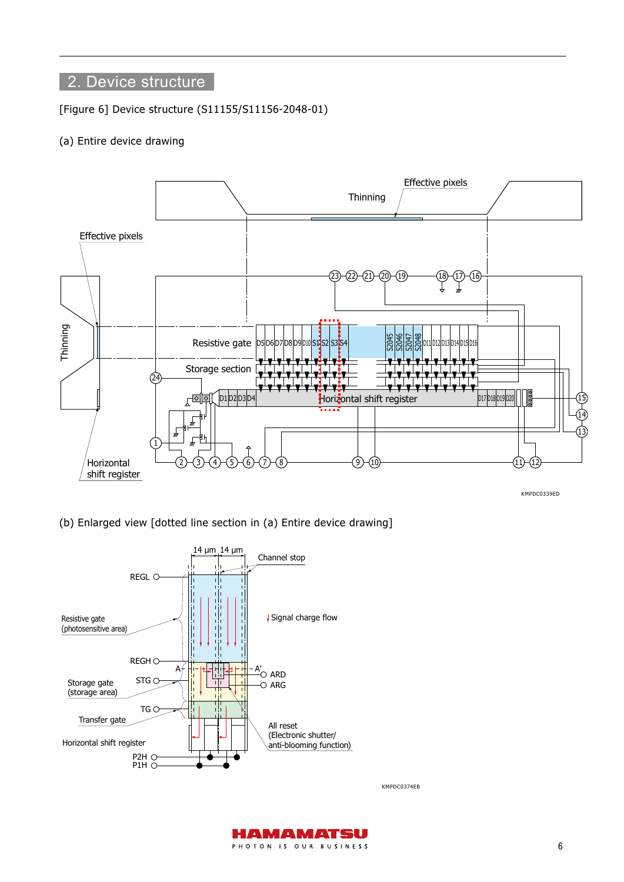## 2. Device structure

[Figure 6] Device structure (S11155/S11156-2048-01)

#### (a) Entire device drawing



KMPDC0339ED

(b) Enlarged view [dotted line section in (a) Entire device drawing]



KMPDC0374EB

AMAMATSU PHOTON IS OUR BUSINESS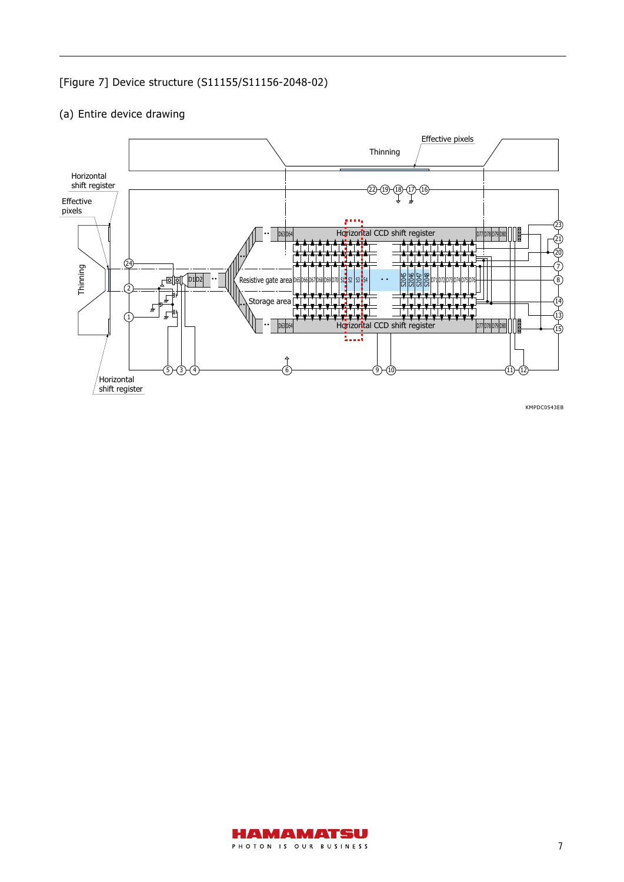### [Figure 7] Device structure (S11155/S11156-2048-02)



### (a) Entire device drawing

KMPDC0543EB

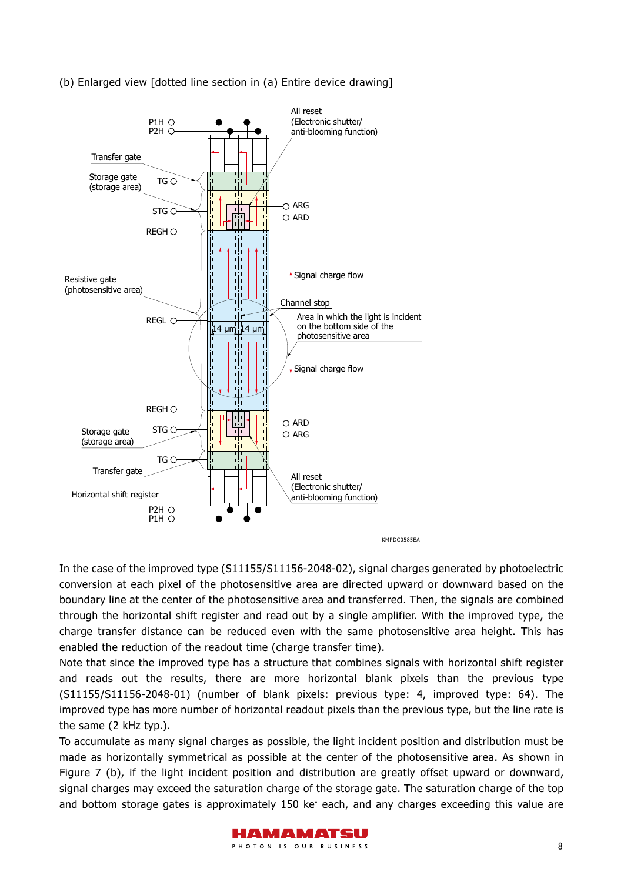

(b) Enlarged view [dotted line section in (a) Entire device drawing]

In the case of the improved type (S11155/S11156-2048-02), signal charges generated by photoelectric conversion at each pixel of the photosensitive area are directed upward or downward based on the boundary line at the center of the photosensitive area and transferred. Then, the signals are combined through the horizontal shift register and read out by a single amplifier. With the improved type, the charge transfer distance can be reduced even with the same photosensitive area height. This has enabled the reduction of the readout time (charge transfer time).

Note that since the improved type has a structure that combines signals with horizontal shift register and reads out the results, there are more horizontal blank pixels than the previous type (S11155/S11156-2048-01) (number of blank pixels: previous type: 4, improved type: 64). The improved type has more number of horizontal readout pixels than the previous type, but the line rate is the same (2 kHz typ.).

To accumulate as many signal charges as possible, the light incident position and distribution must be made as horizontally symmetrical as possible at the center of the photosensitive area. As shown in Figure 7 (b), if the light incident position and distribution are greatly offset upward or downward, signal charges may exceed the saturation charge of the storage gate. The saturation charge of the top and bottom storage gates is approximately 150 ke<sup>-</sup> each, and any charges exceeding this value are

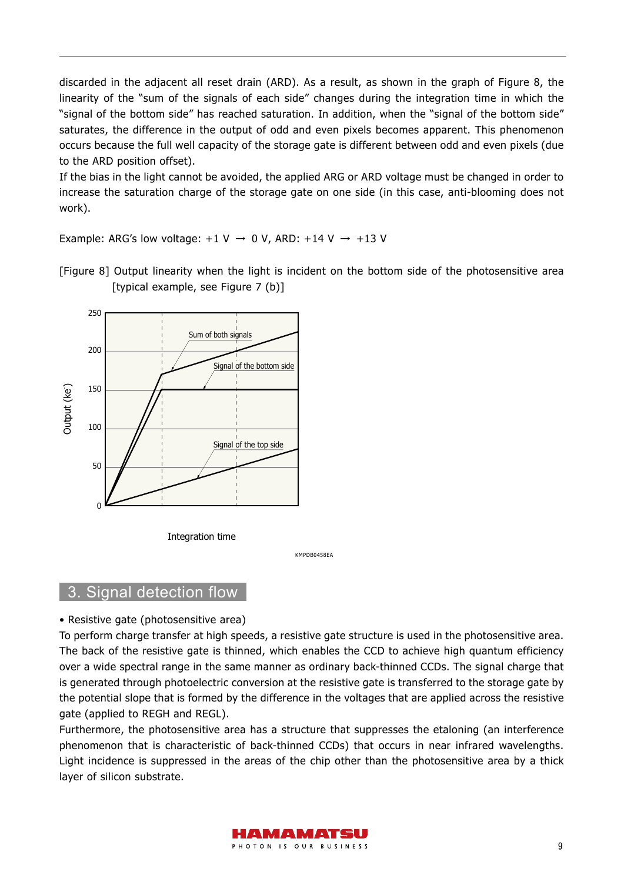discarded in the adjacent all reset drain (ARD). As a result, as shown in the graph of Figure 8, the linearity of the "sum of the signals of each side" changes during the integration time in which the "signal of the bottom side" has reached saturation. In addition, when the "signal of the bottom side" saturates, the difference in the output of odd and even pixels becomes apparent. This phenomenon occurs because the full well capacity of the storage gate is different between odd and even pixels (due to the ARD position offset).

If the bias in the light cannot be avoided, the applied ARG or ARD voltage must be changed in order to increase the saturation charge of the storage gate on one side (in this case, anti-blooming does not work).

Example: ARG's low voltage:  $+1$  V  $\rightarrow$  0 V, ARD:  $+14$  V  $\rightarrow$   $+13$  V



[Figure 8] Output linearity when the light is incident on the bottom side of the photosensitive area [typical example, see Figure 7 (b)]

KMPDB0458EA

#### 3. Signal detection flow

• Resistive gate (photosensitive area)

To perform charge transfer at high speeds, a resistive gate structure is used in the photosensitive area. The back of the resistive gate is thinned, which enables the CCD to achieve high quantum efficiency over a wide spectral range in the same manner as ordinary back-thinned CCDs. The signal charge that is generated through photoelectric conversion at the resistive gate is transferred to the storage gate by the potential slope that is formed by the difference in the voltages that are applied across the resistive gate (applied to REGH and REGL).

Furthermore, the photosensitive area has a structure that suppresses the etaloning (an interference phenomenon that is characteristic of back-thinned CCDs) that occurs in near infrared wavelengths. Light incidence is suppressed in the areas of the chip other than the photosensitive area by a thick layer of silicon substrate.

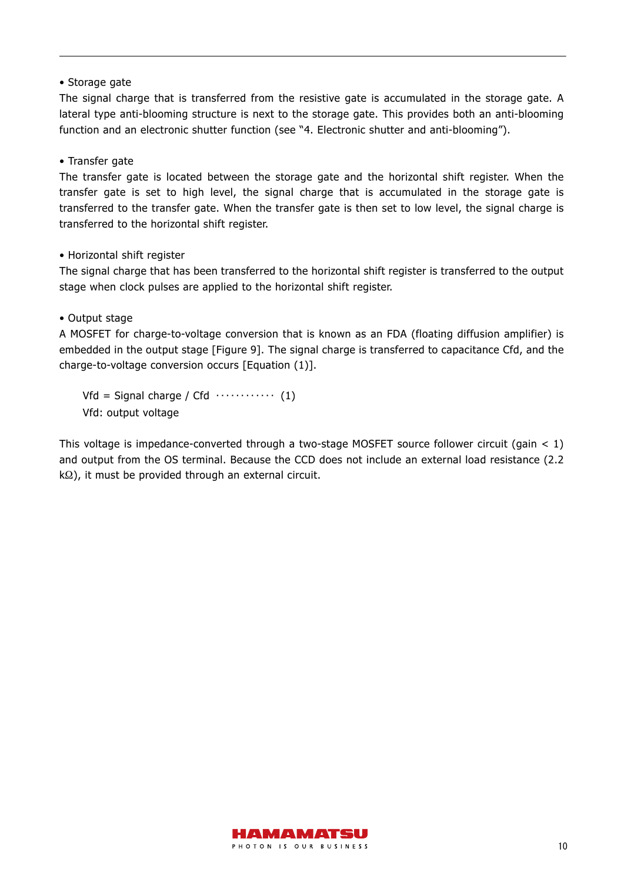#### • Storage gate

The signal charge that is transferred from the resistive gate is accumulated in the storage gate. A lateral type anti-blooming structure is next to the storage gate. This provides both an anti-blooming function and an electronic shutter function (see "4. Electronic shutter and anti-blooming").

#### • Transfer gate

The transfer gate is located between the storage gate and the horizontal shift register. When the transfer gate is set to high level, the signal charge that is accumulated in the storage gate is transferred to the transfer gate. When the transfer gate is then set to low level, the signal charge is transferred to the horizontal shift register.

#### • Horizontal shift register

The signal charge that has been transferred to the horizontal shift register is transferred to the output stage when clock pulses are applied to the horizontal shift register.

#### • Output stage

A MOSFET for charge-to-voltage conversion that is known as an FDA (floating diffusion amplifier) is embedded in the output stage [Figure 9]. The signal charge is transferred to capacitance Cfd, and the charge-to-voltage conversion occurs [Equation (1)].

 $Vfd =$  Signal charge / Cfd  $\cdots$   $(1)$ Vfd: output voltage

This voltage is impedance-converted through a two-stage MOSFET source follower circuit (gain  $\lt 1$ ) and output from the OS terminal. Because the CCD does not include an external load resistance (2.2 kΩ), it must be provided through an external circuit.

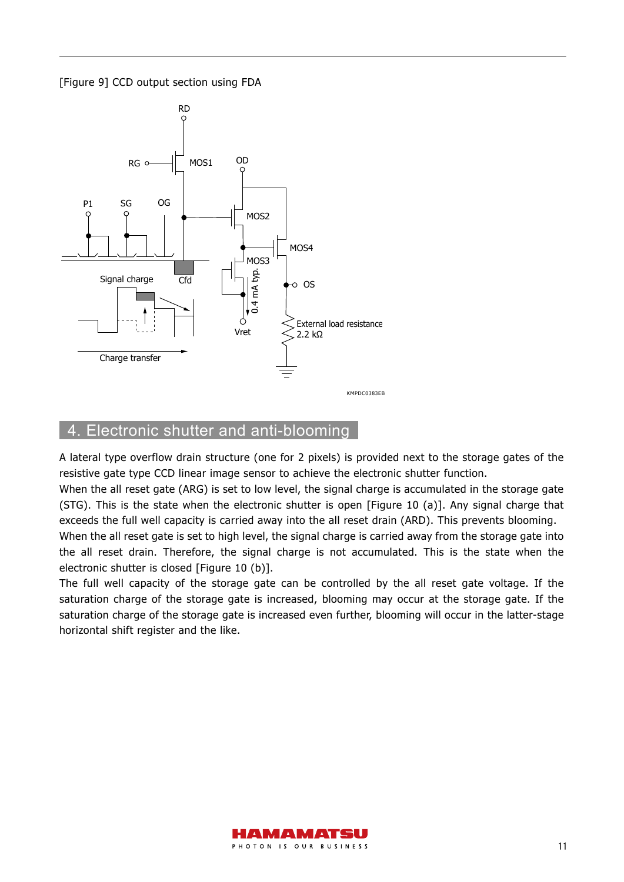[Figure 9] CCD output section using FDA



## 4. Electronic shutter and anti-blooming

A lateral type overflow drain structure (one for 2 pixels) is provided next to the storage gates of the resistive gate type CCD linear image sensor to achieve the electronic shutter function.

When the all reset gate (ARG) is set to low level, the signal charge is accumulated in the storage gate (STG). This is the state when the electronic shutter is open [Figure 10 (a)]. Any signal charge that exceeds the full well capacity is carried away into the all reset drain (ARD). This prevents blooming.

When the all reset gate is set to high level, the signal charge is carried away from the storage gate into the all reset drain. Therefore, the signal charge is not accumulated. This is the state when the electronic shutter is closed [Figure 10 (b)].

The full well capacity of the storage gate can be controlled by the all reset gate voltage. If the saturation charge of the storage gate is increased, blooming may occur at the storage gate. If the saturation charge of the storage gate is increased even further, blooming will occur in the latter-stage horizontal shift register and the like.

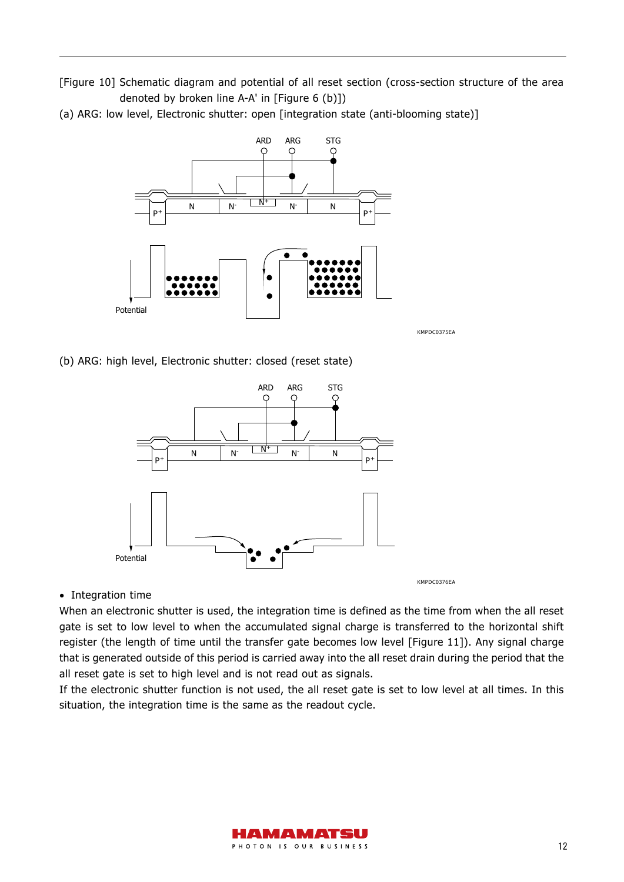[Figure 10] Schematic diagram and potential of all reset section (cross-section structure of the area denoted by broken line A-A' in [Figure 6 (b)])

(a) ARG: low level, Electronic shutter: open [integration state (anti-blooming state)]



KMPDC0375EA

(b) ARG: high level, Electronic shutter: closed (reset state)



• Integration time

When an electronic shutter is used, the integration time is defined as the time from when the all reset gate is set to low level to when the accumulated signal charge is transferred to the horizontal shift register (the length of time until the transfer gate becomes low level [Figure 11]). Any signal charge that is generated outside of this period is carried away into the all reset drain during the period that the all reset gate is set to high level and is not read out as signals.

If the electronic shutter function is not used, the all reset gate is set to low level at all times. In this situation, the integration time is the same as the readout cycle.

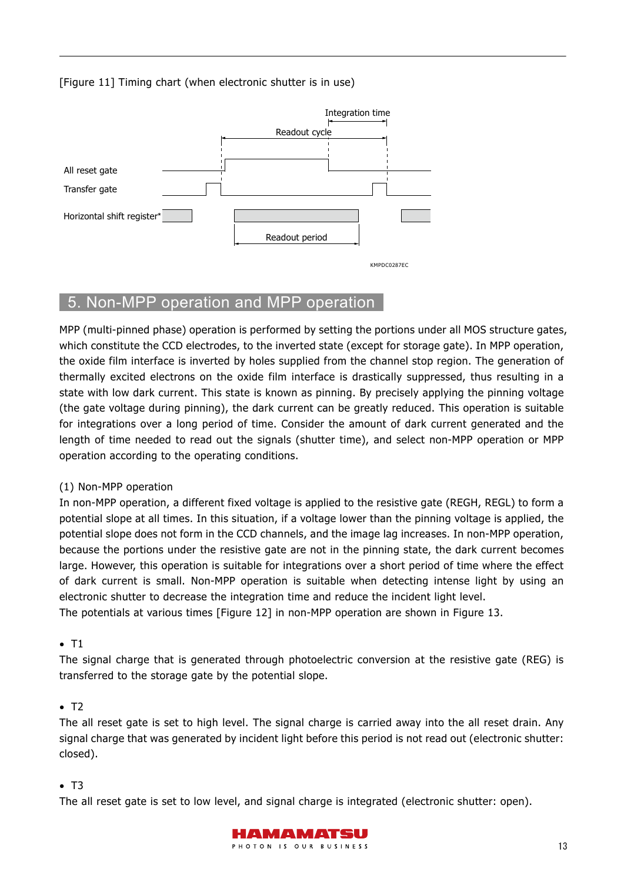#### [Figure 11] Timing chart (when electronic shutter is in use)



## 5. Non-MPP operation and MPP operation

MPP (multi-pinned phase) operation is performed by setting the portions under all MOS structure gates, which constitute the CCD electrodes, to the inverted state (except for storage gate). In MPP operation, the oxide film interface is inverted by holes supplied from the channel stop region. The generation of thermally excited electrons on the oxide film interface is drastically suppressed, thus resulting in a state with low dark current. This state is known as pinning. By precisely applying the pinning voltage (the gate voltage during pinning), the dark current can be greatly reduced. This operation is suitable for integrations over a long period of time. Consider the amount of dark current generated and the length of time needed to read out the signals (shutter time), and select non-MPP operation or MPP operation according to the operating conditions.

#### (1) Non-MPP operation

In non-MPP operation, a different fixed voltage is applied to the resistive gate (REGH, REGL) to form a potential slope at all times. In this situation, if a voltage lower than the pinning voltage is applied, the potential slope does not form in the CCD channels, and the image lag increases. In non-MPP operation, because the portions under the resistive gate are not in the pinning state, the dark current becomes large. However, this operation is suitable for integrations over a short period of time where the effect of dark current is small. Non-MPP operation is suitable when detecting intense light by using an electronic shutter to decrease the integration time and reduce the incident light level.

The potentials at various times [Figure 12] in non-MPP operation are shown in Figure 13.

#### $\bullet$  T1

The signal charge that is generated through photoelectric conversion at the resistive gate (REG) is transferred to the storage gate by the potential slope.

#### $\bullet$  T<sub>2</sub>

The all reset gate is set to high level. The signal charge is carried away into the all reset drain. Any signal charge that was generated by incident light before this period is not read out (electronic shutter: closed).

#### $\bullet$  T3

The all reset gate is set to low level, and signal charge is integrated (electronic shutter: open).

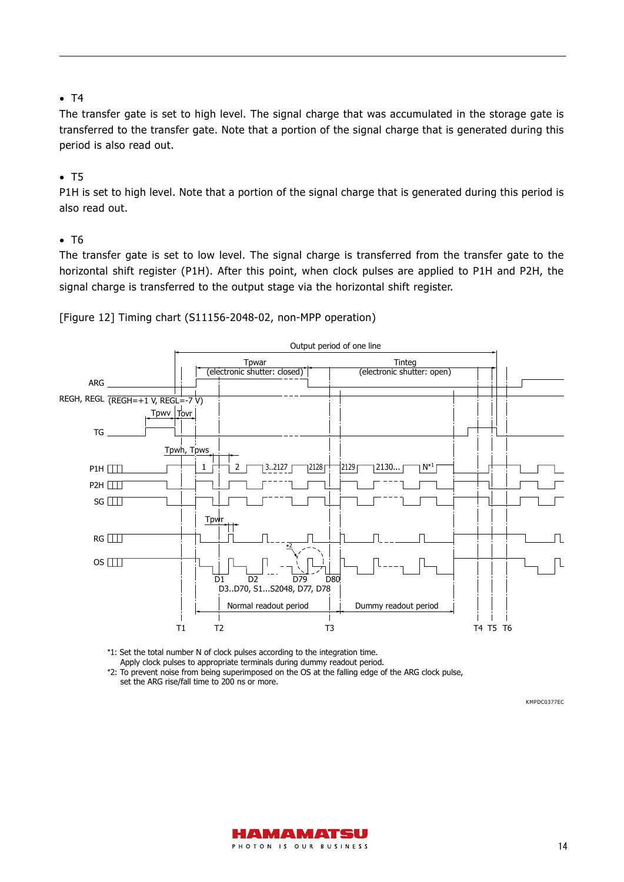#### $\bullet$  T4

The transfer gate is set to high level. The signal charge that was accumulated in the storage gate is transferred to the transfer gate. Note that a portion of the signal charge that is generated during this period is also read out.

#### $\bullet$  T5

P1H is set to high level. Note that a portion of the signal charge that is generated during this period is also read out.

#### $\bullet$  T<sub>6</sub>

The transfer gate is set to low level. The signal charge is transferred from the transfer gate to the horizontal shift register (P1H). After this point, when clock pulses are applied to P1H and P2H, the signal charge is transferred to the output stage via the horizontal shift register.



[Figure 12] Timing chart (S11156-2048-02, non-MPP operation)

\*1: Set the total number N of clock pulses according to the integration time.

Apply clock pulses to appropriate terminals during dummy readout period.

\*2: To prevent noise from being superimposed on the OS at the falling edge of the ARG clock pulse, set the ARG rise/fall time to 200 ns or more.

KMPDC0377EC

 $\Box$ 

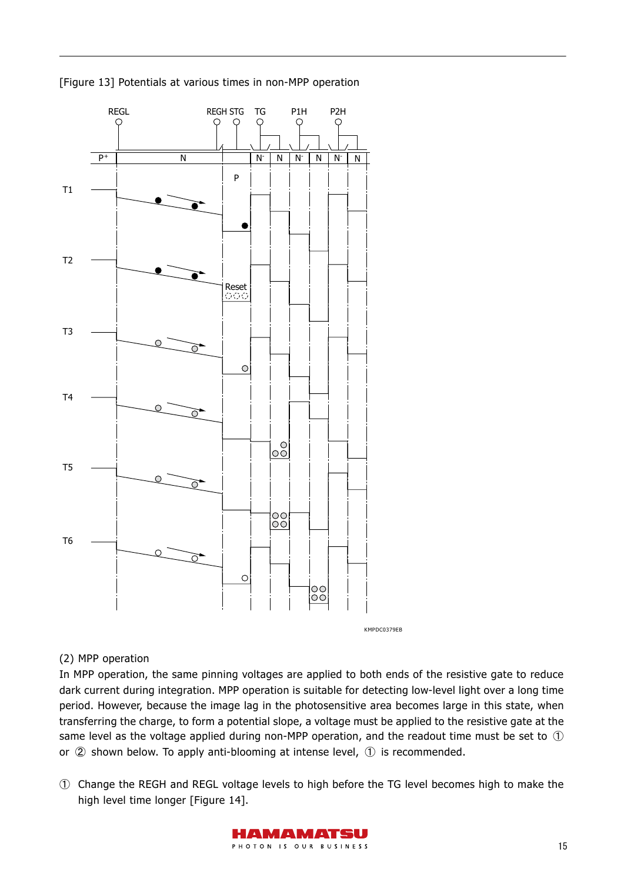



#### (2) MPP operation

In MPP operation, the same pinning voltages are applied to both ends of the resistive gate to reduce dark current during integration. MPP operation is suitable for detecting low-level light over a long time period. However, because the image lag in the photosensitive area becomes large in this state, when transferring the charge, to form a potential slope, a voltage must be applied to the resistive gate at the same level as the voltage applied during non-MPP operation, and the readout time must be set to ① or ② shown below. To apply anti-blooming at intense level, ① is recommended.

① Change the REGH and REGL voltage levels to high before the TG level becomes high to make the high level time longer [Figure 14].

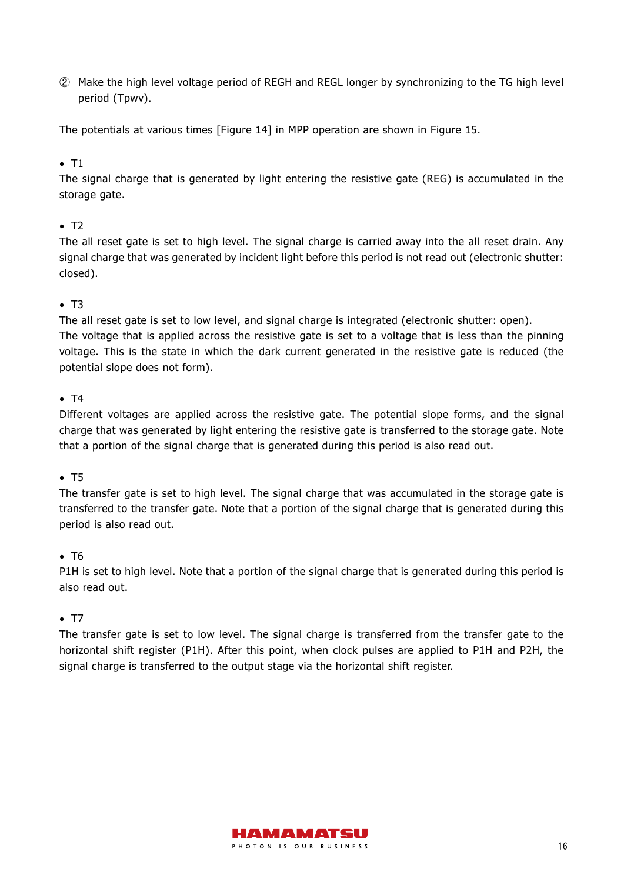② Make the high level voltage period of REGH and REGL longer by synchronizing to the TG high level period (Tpwv).

The potentials at various times [Figure 14] in MPP operation are shown in Figure 15.

#### $\bullet$  T1

The signal charge that is generated by light entering the resistive gate (REG) is accumulated in the storage gate.

#### $\bullet$  T<sub>2</sub>

The all reset gate is set to high level. The signal charge is carried away into the all reset drain. Any signal charge that was generated by incident light before this period is not read out (electronic shutter: closed).

#### $\bullet$  T3

The all reset gate is set to low level, and signal charge is integrated (electronic shutter: open). The voltage that is applied across the resistive gate is set to a voltage that is less than the pinning

voltage. This is the state in which the dark current generated in the resistive gate is reduced (the potential slope does not form).

#### $\bullet$  T4

Different voltages are applied across the resistive gate. The potential slope forms, and the signal charge that was generated by light entering the resistive gate is transferred to the storage gate. Note that a portion of the signal charge that is generated during this period is also read out.

#### $\bullet$  T5

The transfer gate is set to high level. The signal charge that was accumulated in the storage gate is transferred to the transfer gate. Note that a portion of the signal charge that is generated during this period is also read out.

#### $\bullet$  T<sub>6</sub>

P1H is set to high level. Note that a portion of the signal charge that is generated during this period is also read out.

#### $\bullet$  T7

The transfer gate is set to low level. The signal charge is transferred from the transfer gate to the horizontal shift register (P1H). After this point, when clock pulses are applied to P1H and P2H, the signal charge is transferred to the output stage via the horizontal shift register.

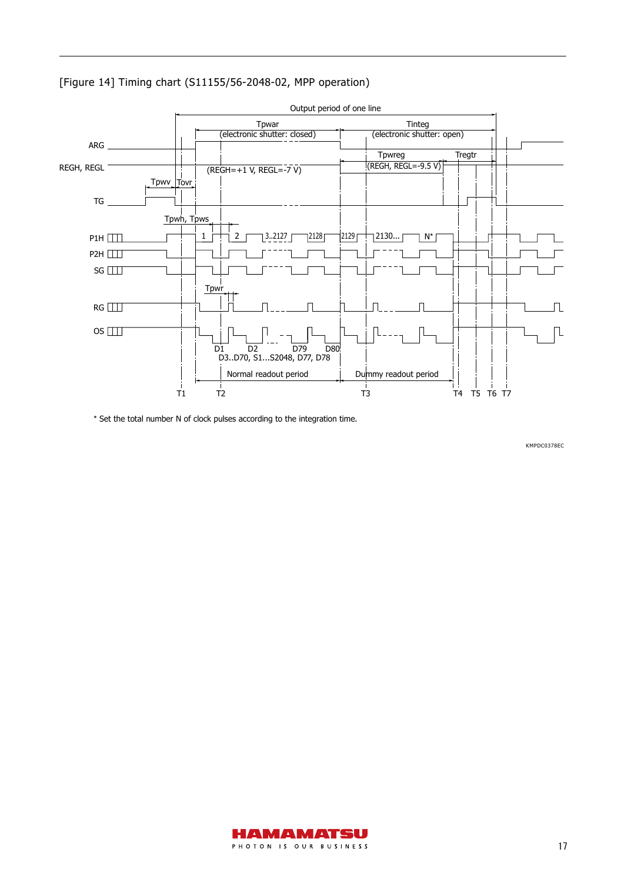



\* Set the total number N of clock pulses according to the integration time.

KMPDC0378EC

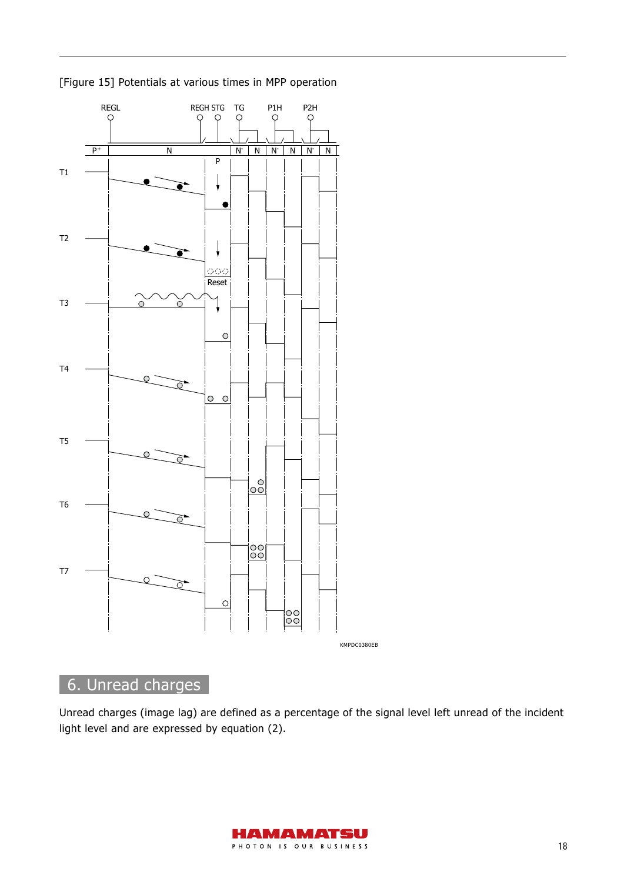

[Figure 15] Potentials at various times in MPP operation

## 6. Unread charges

Unread charges (image lag) are defined as a percentage of the signal level left unread of the incident light level and are expressed by equation (2).

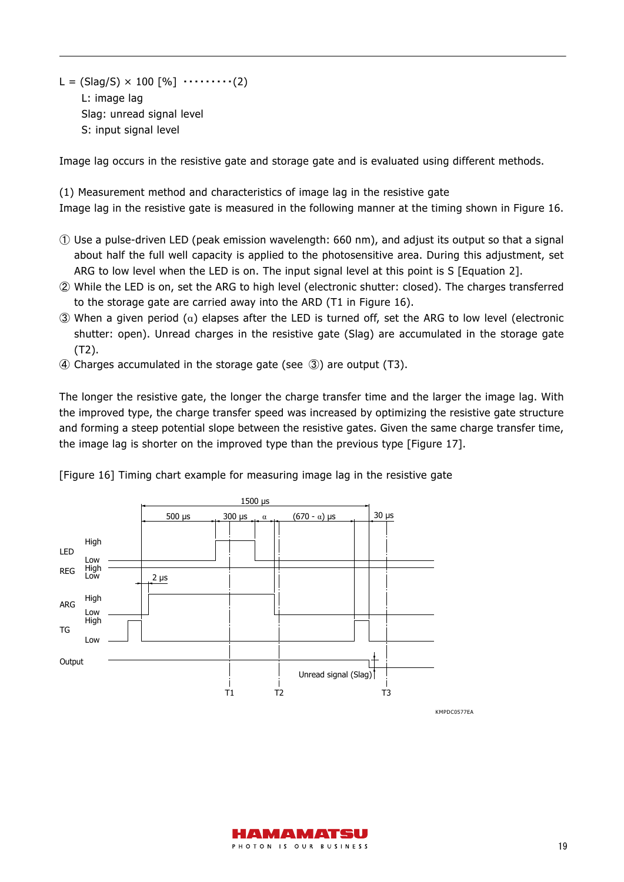L = (Slag/S)  $\times$  100 [%]  $\cdots$   $(2)$ L: image lag Slag: unread signal level S: input signal level

Image lag occurs in the resistive gate and storage gate and is evaluated using different methods.

(1) Measurement method and characteristics of image lag in the resistive gate Image lag in the resistive gate is measured in the following manner at the timing shown in Figure 16.

- ① Use a pulse-driven LED (peak emission wavelength: 660 nm), and adjust its output so that a signal about half the full well capacity is applied to the photosensitive area. During this adjustment, set ARG to low level when the LED is on. The input signal level at this point is S [Equation 2].
- ② While the LED is on, set the ARG to high level (electronic shutter: closed). The charges transferred to the storage gate are carried away into the ARD (T1 in Figure 16).
- ③ When a given period (α) elapses after the LED is turned off, set the ARG to low level (electronic shutter: open). Unread charges in the resistive gate (Slag) are accumulated in the storage gate (T2).
- ④ Charges accumulated in the storage gate (see ③) are output (T3).

The longer the resistive gate, the longer the charge transfer time and the larger the image lag. With the improved type, the charge transfer speed was increased by optimizing the resistive gate structure and forming a steep potential slope between the resistive gates. Given the same charge transfer time, the image lag is shorter on the improved type than the previous type [Figure 17].



[Figure 16] Timing chart example for measuring image lag in the resistive gate

KMPDC0577EA

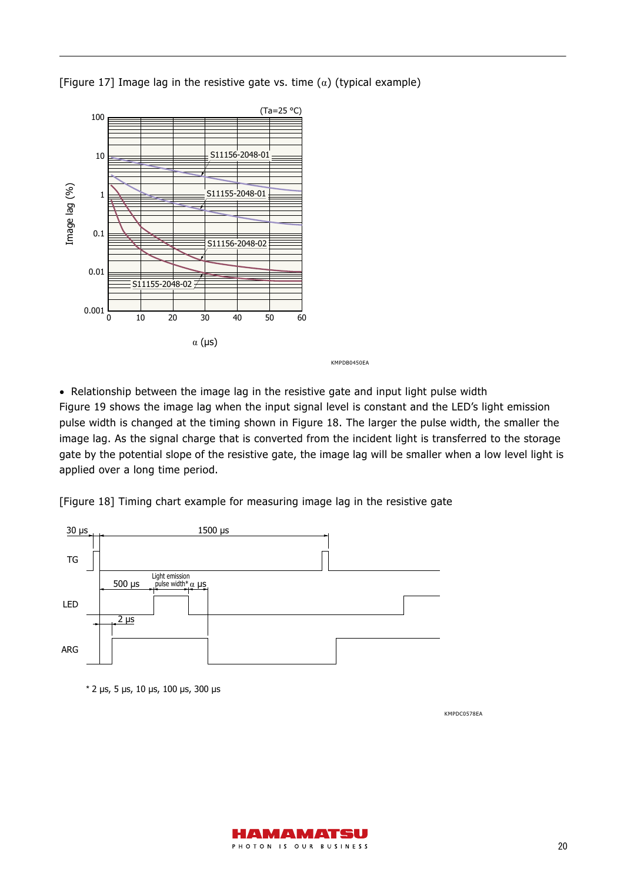[Figure 17] Image lag in the resistive gate vs. time  $(\alpha)$  (typical example)



KMPDB0450EA

• Relationship between the image lag in the resistive gate and input light pulse width Figure 19 shows the image lag when the input signal level is constant and the LED's light emission pulse width is changed at the timing shown in Figure 18. The larger the pulse width, the smaller the image lag. As the signal charge that is converted from the incident light is transferred to the storage gate by the potential slope of the resistive gate, the image lag will be smaller when a low level light is applied over a long time period.

[Figure 18] Timing chart example for measuring image lag in the resistive gate



\* 2 µs, 5 µs, 10 µs, 100 µs, 300 µs

KMPDC0578EA

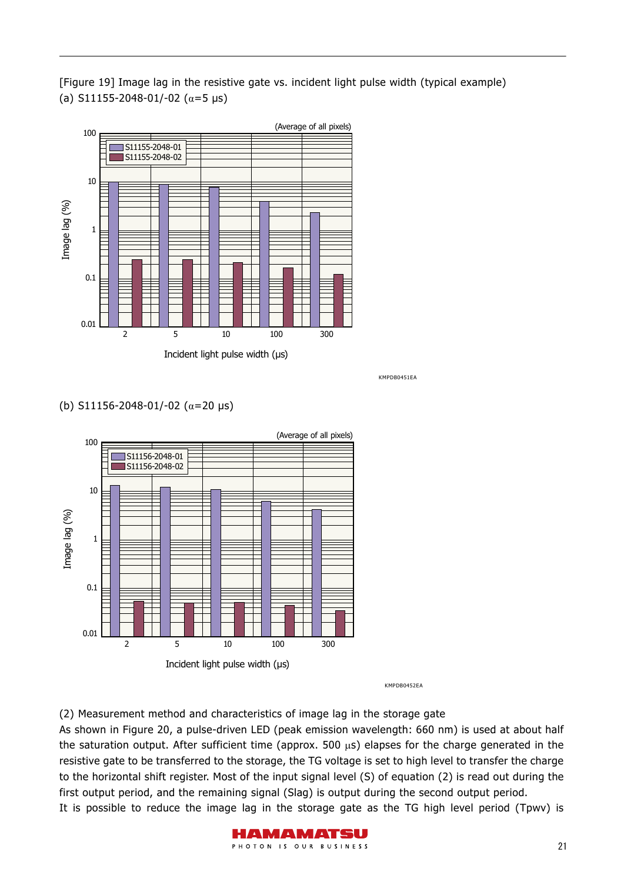[Figure 19] Image lag in the resistive gate vs. incident light pulse width (typical example) (a) S11155-2048-01/-02 ( $\alpha$ =5 μs)



KMPDB0451EA

#### (b) S11156-2048-01/-02 (α=20 μs)



KMPDB0452EA

(2) Measurement method and characteristics of image lag in the storage gate

As shown in Figure 20, a pulse-driven LED (peak emission wavelength: 660 nm) is used at about half the saturation output. After sufficient time (approx. 500  $\mu$ s) elapses for the charge generated in the resistive gate to be transferred to the storage, the TG voltage is set to high level to transfer the charge to the horizontal shift register. Most of the input signal level (S) of equation (2) is read out during the first output period, and the remaining signal (Slag) is output during the second output period. It is possible to reduce the image lag in the storage gate as the TG high level period (Tpwv) is

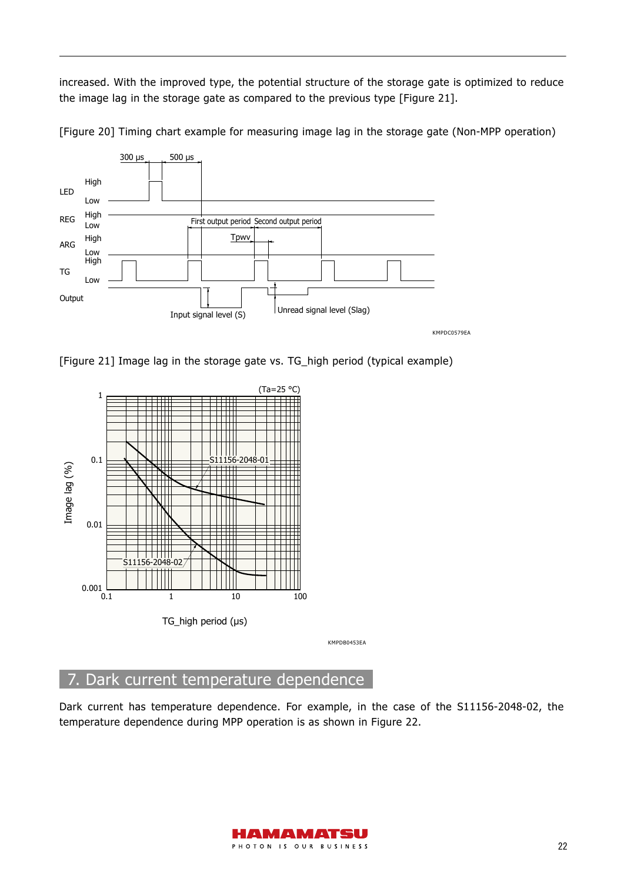increased. With the improved type, the potential structure of the storage gate is optimized to reduce the image lag in the storage gate as compared to the previous type [Figure 21].



[Figure 20] Timing chart example for measuring image lag in the storage gate (Non-MPP operation)

[Figure 21] Image lag in the storage gate vs. TG\_high period (typical example)



## 7. Dark current temperature dependence

Dark current has temperature dependence. For example, in the case of the S11156-2048-02, the temperature dependence during MPP operation is as shown in Figure 22.

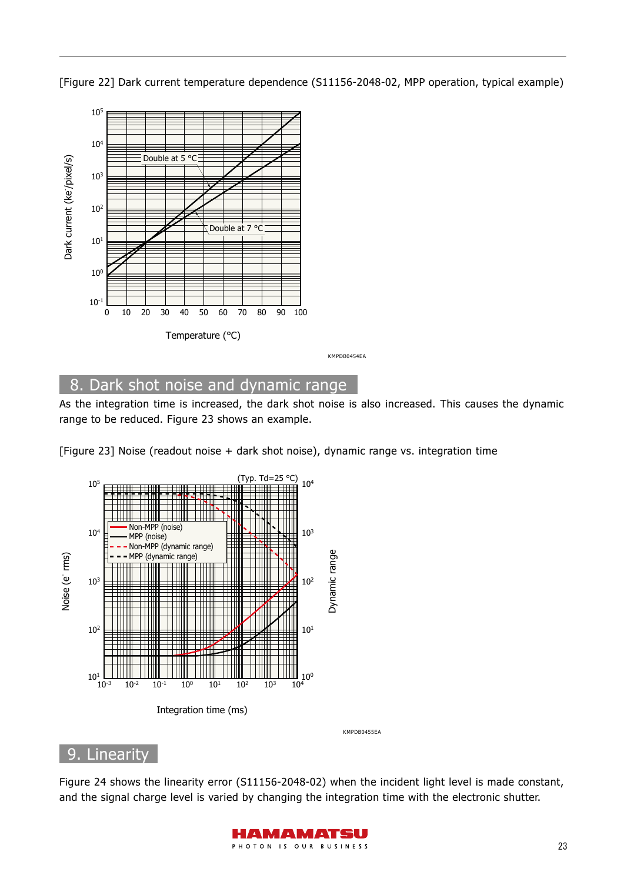[Figure 22] Dark current temperature dependence (S11156-2048-02, MPP operation, typical example)



## 8. Dark shot noise and dynamic range

As the integration time is increased, the dark shot noise is also increased. This causes the dynamic range to be reduced. Figure 23 shows an example.

[Figure 23] Noise (readout noise + dark shot noise), dynamic range vs. integration time



## 9. Linearity

Figure 24 shows the linearity error (S11156-2048-02) when the incident light level is made constant, and the signal charge level is varied by changing the integration time with the electronic shutter.

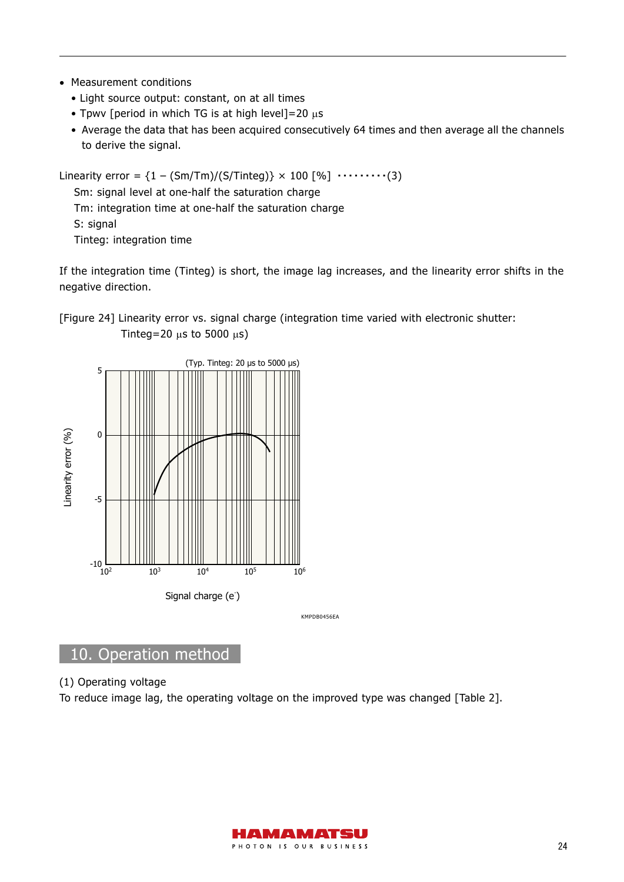- Measurement conditions
	- Light source output: constant, on at all times
	- Tpwv [period in which TG is at high level] = 20  $\mu$ s
	- Average the data that has been acquired consecutively 64 times and then average all the channels to derive the signal.

```
Linearity error = \{1 - (Sm/Tm)/(S/Tinteg)\} \times 100 [%] \cdots \cdots \cdots (3)
Sm: signal level at one-half the saturation charge 
Tm: integration time at one-half the saturation charge 
S: signal 
Tinteg: integration time
```
If the integration time (Tinteg) is short, the image lag increases, and the linearity error shifts in the negative direction.





KMPDB0456EA

## 10. Operation method

#### (1) Operating voltage

To reduce image lag, the operating voltage on the improved type was changed [Table 2].

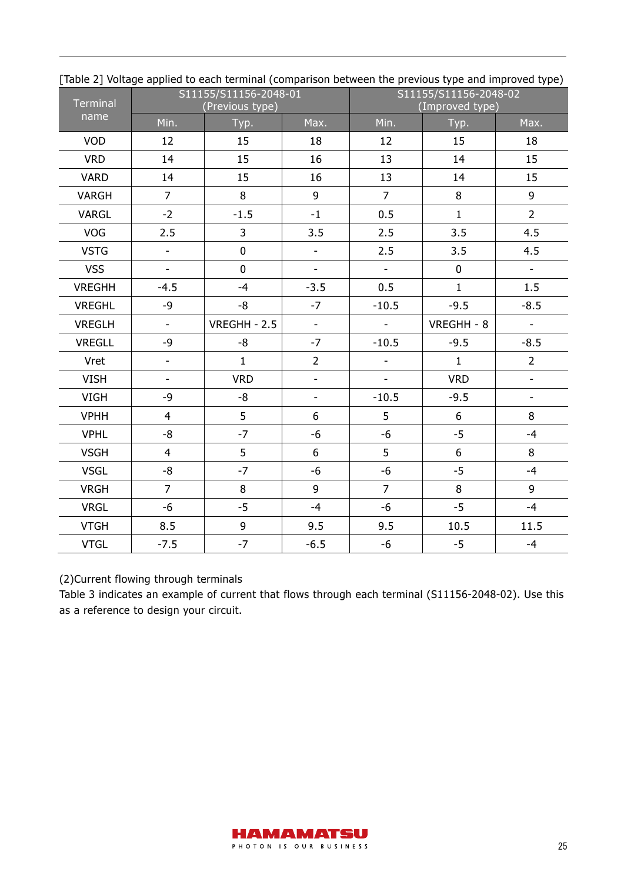| <b>Terminal</b> |                          | S11155/S11156-2048-01<br>(Previous type) |                          | S11155/S11156-2048-02<br>(Improved type) |                |                           |  |
|-----------------|--------------------------|------------------------------------------|--------------------------|------------------------------------------|----------------|---------------------------|--|
| name            | Min.                     | Typ.                                     | Max.                     | Min.                                     | Typ.           | Max.                      |  |
| <b>VOD</b>      | 12                       | 15                                       | 18                       | 12                                       | 15             | 18                        |  |
| <b>VRD</b>      | 14                       | 15                                       | 16                       | 13                                       | 14             | 15                        |  |
| <b>VARD</b>     | 14                       | 15                                       | 16                       | 13                                       | 14             | 15                        |  |
| VARGH           | $\overline{7}$           | 8                                        | 9                        | $\overline{7}$                           | 8              | 9                         |  |
| VARGL           | $-2$                     | $-1.5$                                   | $-1$                     | 0.5                                      | $\mathbf{1}$   | $\overline{2}$            |  |
| <b>VOG</b>      | 2.5                      | $\overline{3}$                           | 3.5                      | 2.5                                      | 3.5            | 4.5                       |  |
| <b>VSTG</b>     | $\blacksquare$           | $\mathbf 0$                              | $\overline{\phantom{0}}$ | 2.5                                      | 3.5            | 4.5                       |  |
| <b>VSS</b>      | $\overline{\phantom{a}}$ | $\overline{0}$                           | $\overline{\phantom{a}}$ | $\overline{\phantom{a}}$                 | $\mathbf 0$    | $\mathcal{L}^{\pm}$       |  |
| <b>VREGHH</b>   | $-4.5$                   | $-4$                                     | $-3.5$                   | 0.5                                      | $\mathbf{1}$   | 1.5                       |  |
| <b>VREGHL</b>   | $-9$                     | -8                                       | $-7$                     | $-10.5$                                  | $-9.5$         | $-8.5$                    |  |
| <b>VREGLH</b>   | $\blacksquare$           | VREGHH - 2.5                             | $\Box$                   | $\Box$                                   | VREGHH - 8     | $\mathbb{L}^{\mathbb{N}}$ |  |
| <b>VREGLL</b>   | -9                       | -8                                       | $-7$                     | $-10.5$                                  | $-9.5$         | $-8.5$                    |  |
| Vret            | $\mathbb{L}$             | $\mathbf{1}$                             | $\overline{2}$           | ÷.                                       | $\mathbf{1}$   | $\overline{2}$            |  |
| <b>VISH</b>     | $\blacksquare$           | <b>VRD</b>                               | $\overline{\phantom{0}}$ | $\blacksquare$                           | <b>VRD</b>     | L,                        |  |
| <b>VIGH</b>     | $-9$                     | $-8$                                     | $\overline{a}$           | $-10.5$                                  | $-9.5$         | $\overline{a}$            |  |
| <b>VPHH</b>     | $\overline{4}$           | 5                                        | $6\phantom{1}$           | 5                                        | $6\phantom{a}$ | 8                         |  |
| <b>VPHL</b>     | $-8$                     | $-7$                                     | $-6$                     | $-6$                                     | $-5$           | $-4$                      |  |
| <b>VSGH</b>     | $\overline{4}$           | 5                                        | 6                        | 5                                        | $6\phantom{a}$ | 8                         |  |
| <b>VSGL</b>     | -8                       | $-7$                                     | $-6$                     | $-6$                                     | $-5$           | $-4$                      |  |
| <b>VRGH</b>     | $\overline{7}$           | 8                                        | 9                        | $\overline{7}$                           | 8              | 9                         |  |
| <b>VRGL</b>     | $-6$                     | $-5$                                     | $-4$                     | $-6$                                     | $-5$           | $-4$                      |  |
| <b>VTGH</b>     | 8.5                      | 9                                        | 9.5                      | 9.5                                      | 10.5           | 11.5                      |  |
| <b>VTGL</b>     | $-7.5$                   | $-7$                                     | $-6.5$                   | -6                                       | $-5$           | $-4$                      |  |

[Table 2] Voltage applied to each terminal (comparison between the previous type and improved type)

#### (2)Current flowing through terminals

Table 3 indicates an example of current that flows through each terminal (S11156-2048-02). Use this as a reference to design your circuit.

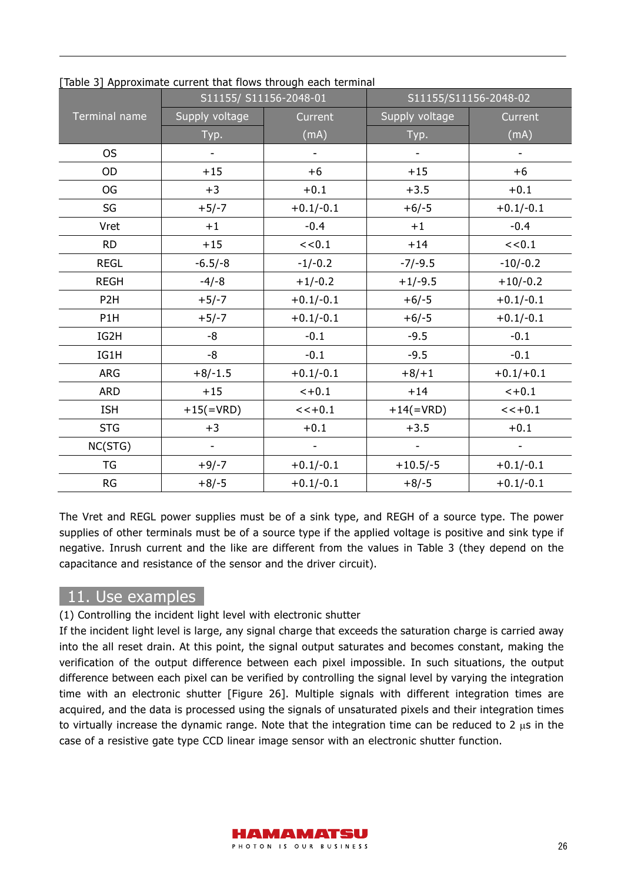|                  |                          | rapic by ripproximate carrent that nows through each terminal<br>S11155/ S11156-2048-01 | S11155/S11156-2048-02        |                          |  |  |
|------------------|--------------------------|-----------------------------------------------------------------------------------------|------------------------------|--------------------------|--|--|
| Terminal name    | Supply voltage           | Current                                                                                 | Supply voltage               | Current<br>(mA)          |  |  |
|                  | Typ.                     | (mA)                                                                                    | Typ.                         |                          |  |  |
| <b>OS</b>        |                          |                                                                                         |                              |                          |  |  |
| <b>OD</b>        | $+15$                    | $+6$                                                                                    | $+15$                        | $+6$                     |  |  |
| <b>OG</b>        | $+3$                     | $+0.1$                                                                                  | $+3.5$                       | $+0.1$                   |  |  |
| SG               | $+5/-7$                  | $+0.1/-0.1$                                                                             | $+6/-5$                      | $+0.1/-0.1$              |  |  |
| Vret             | $+1$                     | $-0.4$                                                                                  | $+1$                         | $-0.4$                   |  |  |
| <b>RD</b>        | $+15$                    | << 0.1                                                                                  | $+14$                        | << 0.1                   |  |  |
| <b>REGL</b>      | $-6.5/-8$                | $-1/-0.2$                                                                               | $-7/-9.5$                    | $-10/-0.2$               |  |  |
| <b>REGH</b>      | $-4/-8$                  | $+1/-0.2$                                                                               |                              | $+10/-0.2$               |  |  |
| P <sub>2</sub> H | $+5/-7$                  | $+0.1/-0.1$                                                                             | $+6/-5$                      | $+0.1/-0.1$              |  |  |
| P1H              | $+5/-7$                  | $+0.1/-0.1$                                                                             | $+6/-5$                      | $+0.1/-0.1$              |  |  |
| IG2H             | -8                       | $-0.1$                                                                                  | $-9.5$                       | $-0.1$                   |  |  |
| IG1H             | -8                       | $-0.1$                                                                                  | $-9.5$                       | $-0.1$                   |  |  |
| ARG              | $+8/-1.5$                | $+0.1/-0.1$                                                                             | $+8/+1$                      | $+0.1/+0.1$              |  |  |
| <b>ARD</b>       | $+15$                    | $< +0.1$                                                                                | $+14$                        | $< +0.1$                 |  |  |
| <b>ISH</b>       | $+15(=\text{VRD})$       | $<< +0.1$                                                                               | $+14$ (=VRD)                 | $<< +0.1$                |  |  |
| <b>STG</b>       | $+3$                     | $+0.1$                                                                                  | $+3.5$                       | $+0.1$                   |  |  |
| NC(STG)          | $\overline{\phantom{a}}$ | $\overline{\phantom{0}}$                                                                | $\qquad \qquad \blacksquare$ | $\overline{\phantom{a}}$ |  |  |
| TG               | $+9/-7$                  | $+0.1/-0.1$                                                                             | $+10.5/-5$                   | $+0.1/-0.1$              |  |  |
| ${\sf RG}$       | $+8/-5$                  | $+0.1/-0.1$                                                                             | $+8/-5$                      | $+0.1/-0.1$              |  |  |

[Table 3] Approximate current that flows through each terminal

The Vret and REGL power supplies must be of a sink type, and REGH of a source type. The power supplies of other terminals must be of a source type if the applied voltage is positive and sink type if negative. Inrush current and the like are different from the values in Table 3 (they depend on the capacitance and resistance of the sensor and the driver circuit).

## 11. Use examples

(1) Controlling the incident light level with electronic shutter

If the incident light level is large, any signal charge that exceeds the saturation charge is carried away into the all reset drain. At this point, the signal output saturates and becomes constant, making the verification of the output difference between each pixel impossible. In such situations, the output difference between each pixel can be verified by controlling the signal level by varying the integration time with an electronic shutter [Figure 26]. Multiple signals with different integration times are acquired, and the data is processed using the signals of unsaturated pixels and their integration times to virtually increase the dynamic range. Note that the integration time can be reduced to 2  $\mu$ s in the case of a resistive gate type CCD linear image sensor with an electronic shutter function.

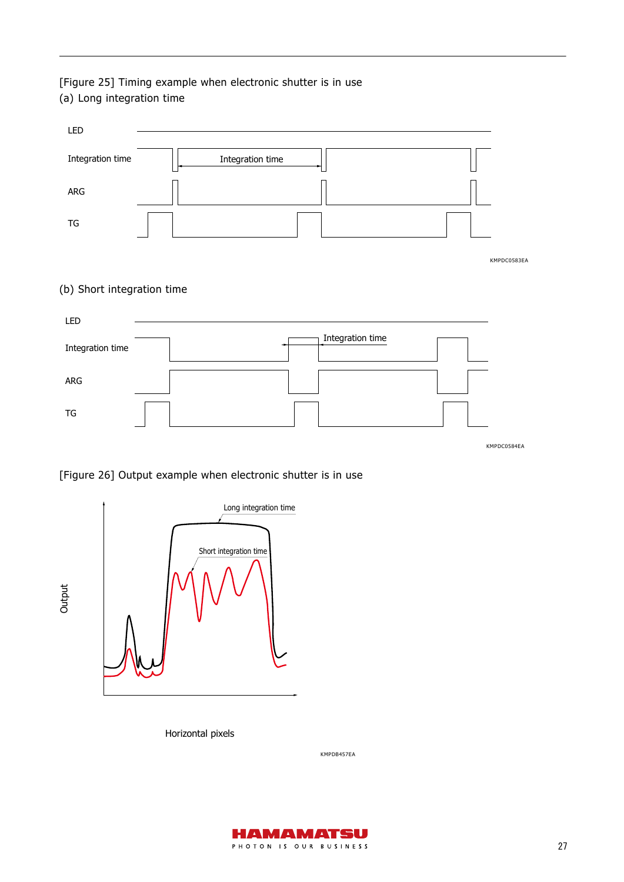### [Figure 25] Timing example when electronic shutter is in use (a) Long integration time



KMPDC0584EA

#### [Figure 26] Output example when electronic shutter is in use



Horizontal pixels

KMPDB457EA

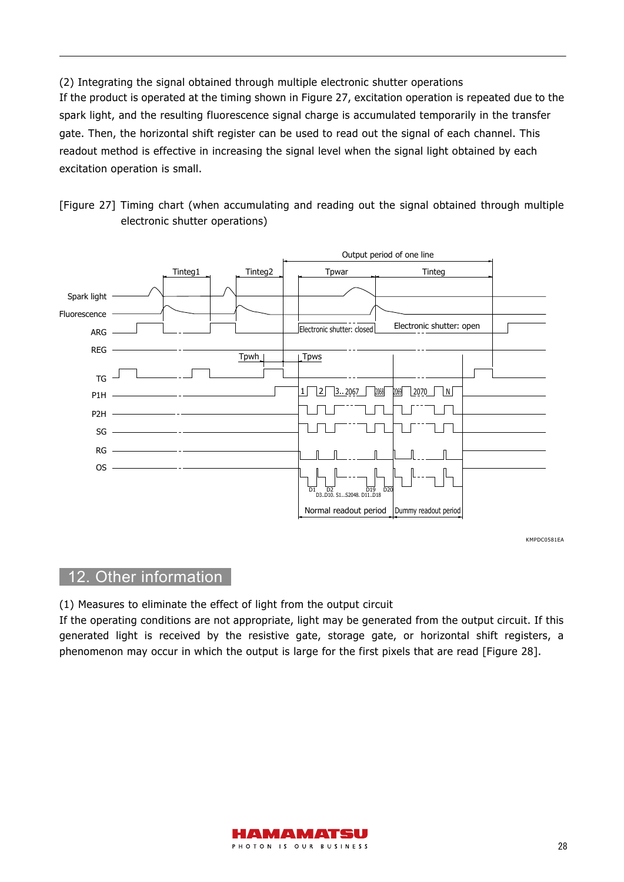(2) Integrating the signal obtained through multiple electronic shutter operations If the product is operated at the timing shown in Figure 27, excitation operation is repeated due to the spark light, and the resulting fluorescence signal charge is accumulated temporarily in the transfer gate. Then, the horizontal shift register can be used to read out the signal of each channel. This readout method is effective in increasing the signal level when the signal light obtained by each excitation operation is small.





KMPDC0581EA

## 12. Other information

(1) Measures to eliminate the effect of light from the output circuit

If the operating conditions are not appropriate, light may be generated from the output circuit. If this generated light is received by the resistive gate, storage gate, or horizontal shift registers, a phenomenon may occur in which the output is large for the first pixels that are read [Figure 28].

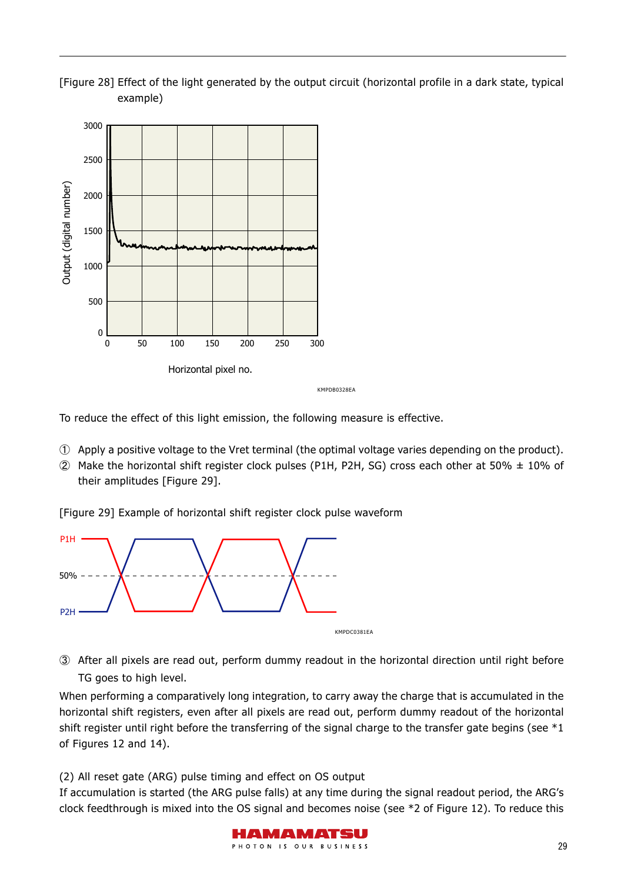



To reduce the effect of this light emission, the following measure is effective.

- ① Apply a positive voltage to the Vret terminal (the optimal voltage varies depending on the product).
- $Q$  Make the horizontal shift register clock pulses (P1H, P2H, SG) cross each other at 50%  $\pm$  10% of their amplitudes [Figure 29].

[Figure 29] Example of horizontal shift register clock pulse waveform



③ After all pixels are read out, perform dummy readout in the horizontal direction until right before TG goes to high level.

When performing a comparatively long integration, to carry away the charge that is accumulated in the horizontal shift registers, even after all pixels are read out, perform dummy readout of the horizontal shift register until right before the transferring of the signal charge to the transfer gate begins (see  $*1$ of Figures 12 and 14).

(2) All reset gate (ARG) pulse timing and effect on OS output

If accumulation is started (the ARG pulse falls) at any time during the signal readout period, the ARG's clock feedthrough is mixed into the OS signal and becomes noise (see \*2 of Figure 12). To reduce this

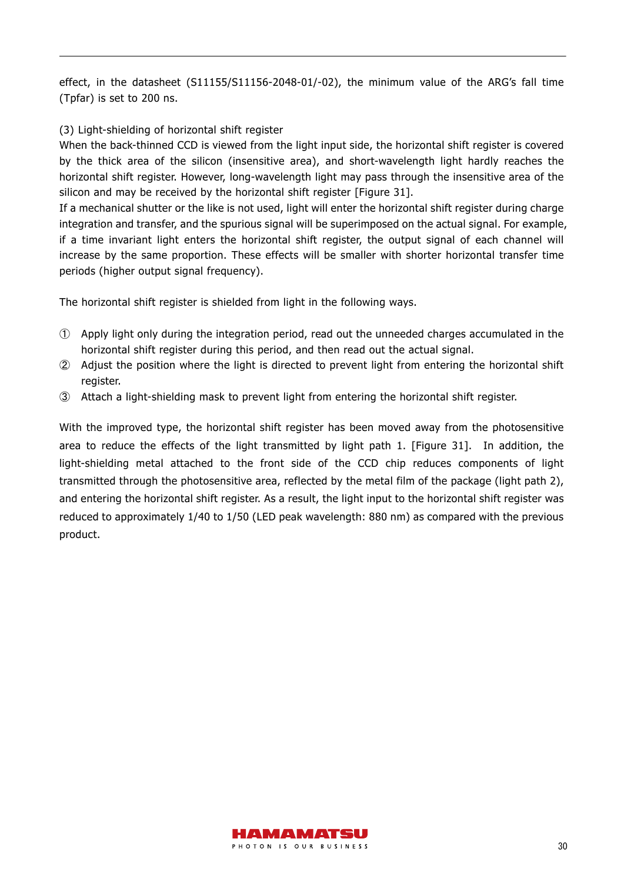effect, in the datasheet (S11155/S11156-2048-01/-02), the minimum value of the ARG's fall time (Tpfar) is set to 200 ns.

#### (3) Light-shielding of horizontal shift register

When the back-thinned CCD is viewed from the light input side, the horizontal shift register is covered by the thick area of the silicon (insensitive area), and short-wavelength light hardly reaches the horizontal shift register. However, long-wavelength light may pass through the insensitive area of the silicon and may be received by the horizontal shift register [Figure 31].

If a mechanical shutter or the like is not used, light will enter the horizontal shift register during charge integration and transfer, and the spurious signal will be superimposed on the actual signal. For example, if a time invariant light enters the horizontal shift register, the output signal of each channel will increase by the same proportion. These effects will be smaller with shorter horizontal transfer time periods (higher output signal frequency).

The horizontal shift register is shielded from light in the following ways.

- ① Apply light only during the integration period, read out the unneeded charges accumulated in the horizontal shift register during this period, and then read out the actual signal.
- ② Adjust the position where the light is directed to prevent light from entering the horizontal shift register.
- ③ Attach a light-shielding mask to prevent light from entering the horizontal shift register.

With the improved type, the horizontal shift register has been moved away from the photosensitive area to reduce the effects of the light transmitted by light path 1. [Figure 31]. In addition, the light-shielding metal attached to the front side of the CCD chip reduces components of light transmitted through the photosensitive area, reflected by the metal film of the package (light path 2), and entering the horizontal shift register. As a result, the light input to the horizontal shift register was reduced to approximately 1/40 to 1/50 (LED peak wavelength: 880 nm) as compared with the previous product.

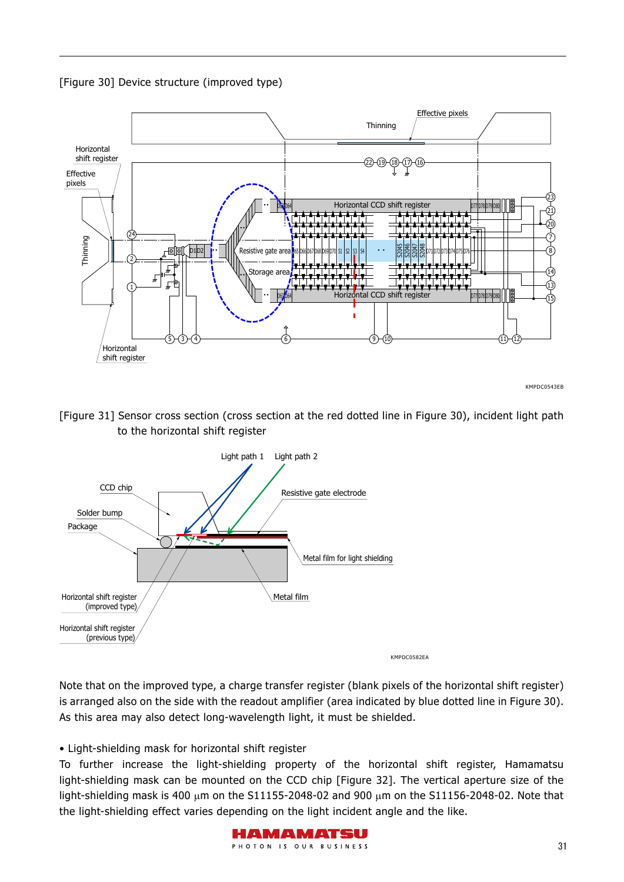



KMPDC0543EB

[Figure 31] Sensor cross section (cross section at the red dotted line in Figure 30), incident light path to the horizontal shift register



Note that on the improved type, a charge transfer register (blank pixels of the horizontal shift register) is arranged also on the side with the readout amplifier (area indicated by blue dotted line in Figure 30). As this area may also detect long-wavelength light, it must be shielded.

#### • Light-shielding mask for horizontal shift register

To further increase the light-shielding property of the horizontal shift register, Hamamatsu light-shielding mask can be mounted on the CCD chip [Figure 32]. The vertical aperture size of the light-shielding mask is 400  $\mu$ m on the S11155-2048-02 and 900  $\mu$ m on the S11156-2048-02. Note that the light-shielding effect varies depending on the light incident angle and the like.

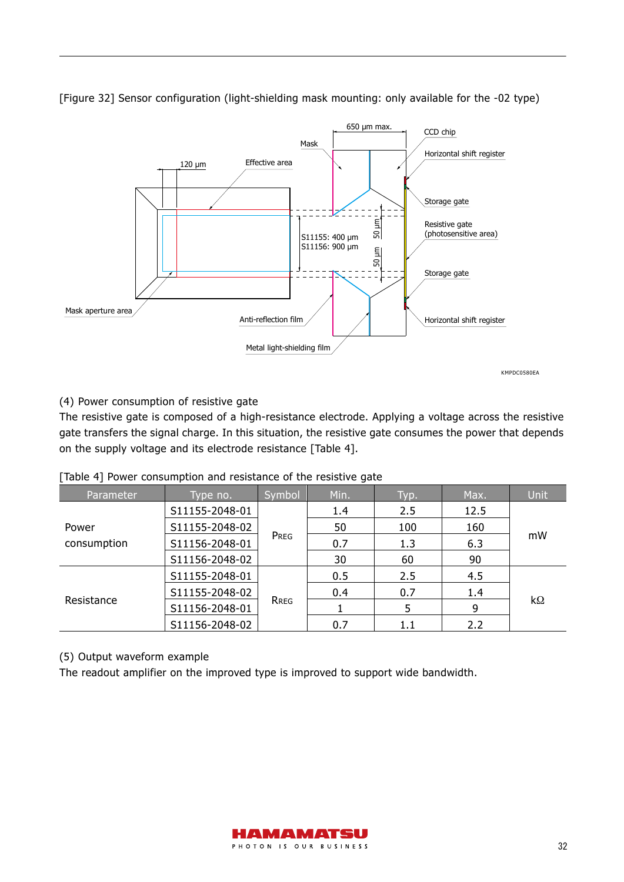

[Figure 32] Sensor configuration (light-shielding mask mounting: only available for the -02 type)

#### (4) Power consumption of resistive gate

The resistive gate is composed of a high-resistance electrode. Applying a voltage across the resistive gate transfers the signal charge. In this situation, the resistive gate consumes the power that depends on the supply voltage and its electrode resistance [Table 4].

| [Table 4] Power consumption and resistance of the resistive gate |  |  |  |  |  |  |
|------------------------------------------------------------------|--|--|--|--|--|--|
|                                                                  |  |  |  |  |  |  |

| Parameter   | Type no.               | Symbol | Min. | Typ. | Max. | Unit      |  |
|-------------|------------------------|--------|------|------|------|-----------|--|
|             | S11155-2048-01         |        | 1.4  | 2.5  | 12.5 | mW        |  |
| Power       | S11155-2048-02         |        | 50   | 100  | 160  |           |  |
| consumption | PREG<br>S11156-2048-01 |        | 0.7  | 1.3  | 6.3  |           |  |
|             | S11156-2048-02         |        | 30   | 60   | 90   |           |  |
|             | S11155-2048-01         |        | 0.5  | 2.5  | 4.5  |           |  |
|             | S11155-2048-02         |        | 0.4  | 0.7  | 1.4  | $k\Omega$ |  |
| Resistance  | S11156-2048-01         | RREG   |      |      | 9    |           |  |
|             | S11156-2048-02         |        | 0.7  | 1.1  | 2.2  |           |  |

(5) Output waveform example

The readout amplifier on the improved type is improved to support wide bandwidth.

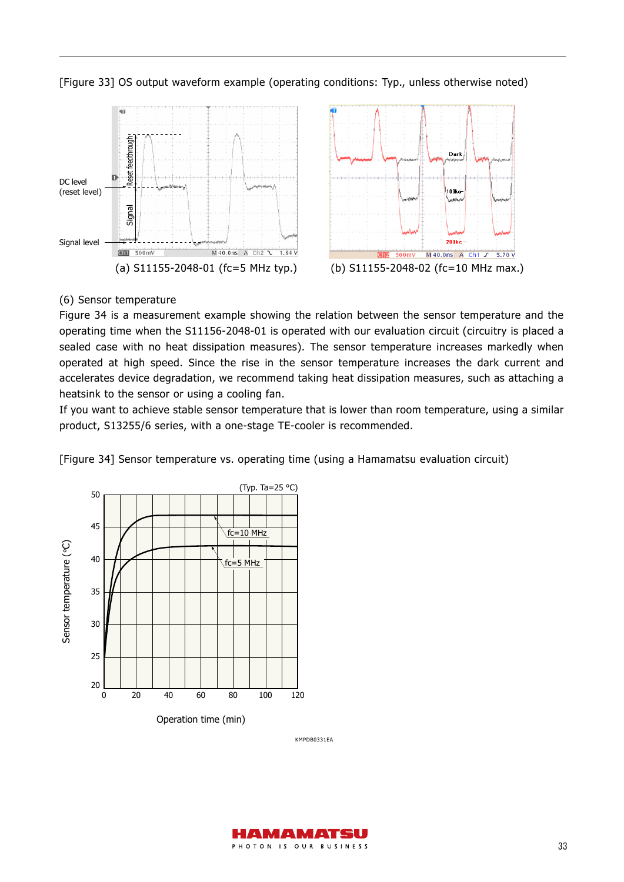[Figure 33] OS output waveform example (operating conditions: Typ., unless otherwise noted)



#### (6) Sensor temperature

Figure 34 is a measurement example showing the relation between the sensor temperature and the operating time when the S11156-2048-01 is operated with our evaluation circuit (circuitry is placed a sealed case with no heat dissipation measures). The sensor temperature increases markedly when operated at high speed. Since the rise in the sensor temperature increases the dark current and accelerates device degradation, we recommend taking heat dissipation measures, such as attaching a heatsink to the sensor or using a cooling fan.

If you want to achieve stable sensor temperature that is lower than room temperature, using a similar product, S13255/6 series, with a one-stage TE-cooler is recommended.

[Figure 34] Sensor temperature vs. operating time (using a Hamamatsu evaluation circuit)



KMPDB0331EA

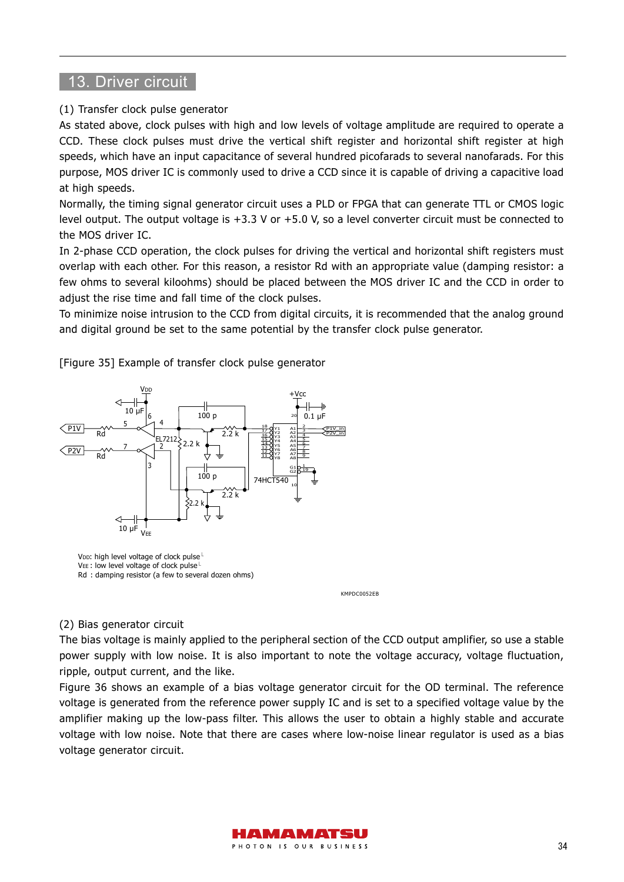## 13. Driver circuit

#### (1) Transfer clock pulse generator

As stated above, clock pulses with high and low levels of voltage amplitude are required to operate a CCD. These clock pulses must drive the vertical shift register and horizontal shift register at high speeds, which have an input capacitance of several hundred picofarads to several nanofarads. For this purpose, MOS driver IC is commonly used to drive a CCD since it is capable of driving a capacitive load at high speeds.

Normally, the timing signal generator circuit uses a PLD or FPGA that can generate TTL or CMOS logic level output. The output voltage is +3.3 V or +5.0 V, so a level converter circuit must be connected to the MOS driver IC.

In 2-phase CCD operation, the clock pulses for driving the vertical and horizontal shift registers must overlap with each other. For this reason, a resistor Rd with an appropriate value (damping resistor: a few ohms to several kiloohms) should be placed between the MOS driver IC and the CCD in order to adjust the rise time and fall time of the clock pulses.

To minimize noise intrusion to the CCD from digital circuits, it is recommended that the analog ground and digital ground be set to the same potential by the transfer clock pulse generator.

[Figure 35] Example of transfer clock pulse generator



KMPDC0052EB

#### (2) Bias generator circuit

The bias voltage is mainly applied to the peripheral section of the CCD output amplifier, so use a stable power supply with low noise. It is also important to note the voltage accuracy, voltage fluctuation, ripple, output current, and the like.

Figure 36 shows an example of a bias voltage generator circuit for the OD terminal. The reference voltage is generated from the reference power supply IC and is set to a specified voltage value by the amplifier making up the low-pass filter. This allows the user to obtain a highly stable and accurate voltage with low noise. Note that there are cases where low-noise linear regulator is used as a bias voltage generator circuit.

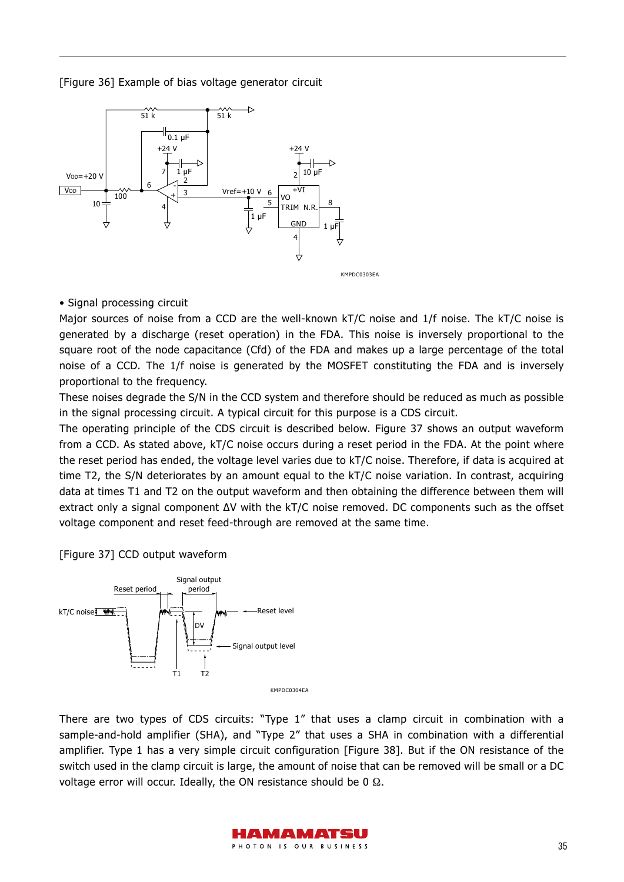[Figure 36] Example of bias voltage generator circuit



• Signal processing circuit

Major sources of noise from a CCD are the well-known kT/C noise and 1/f noise. The kT/C noise is generated by a discharge (reset operation) in the FDA. This noise is inversely proportional to the square root of the node capacitance (Cfd) of the FDA and makes up a large percentage of the total noise of a CCD. The 1/f noise is generated by the MOSFET constituting the FDA and is inversely proportional to the frequency.

These noises degrade the S/N in the CCD system and therefore should be reduced as much as possible in the signal processing circuit. A typical circuit for this purpose is a CDS circuit.

The operating principle of the CDS circuit is described below. Figure 37 shows an output waveform from a CCD. As stated above, kT/C noise occurs during a reset period in the FDA. At the point where the reset period has ended, the voltage level varies due to kT/C noise. Therefore, if data is acquired at time T2, the S/N deteriorates by an amount equal to the kT/C noise variation. In contrast, acquiring data at times T1 and T2 on the output waveform and then obtaining the difference between them will extract only a signal component ΔV with the kT/C noise removed. DC components such as the offset voltage component and reset feed-through are removed at the same time.

[Figure 37] CCD output waveform



There are two types of CDS circuits: "Type 1" that uses a clamp circuit in combination with a sample-and-hold amplifier (SHA), and "Type 2" that uses a SHA in combination with a differential amplifier. Type 1 has a very simple circuit configuration [Figure 38]. But if the ON resistance of the switch used in the clamp circuit is large, the amount of noise that can be removed will be small or a DC voltage error will occur. Ideally, the ON resistance should be 0 Ω.

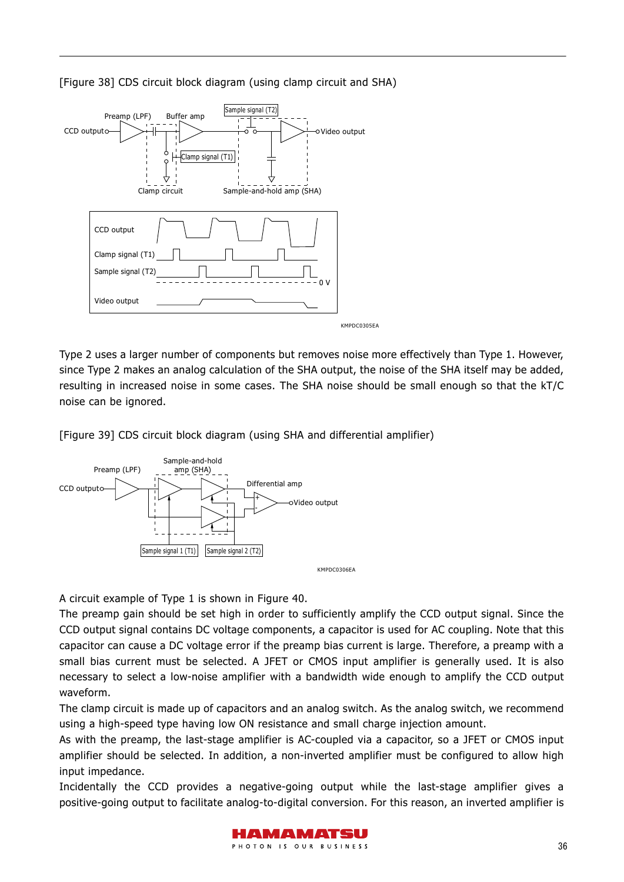



Type 2 uses a larger number of components but removes noise more effectively than Type 1. However, since Type 2 makes an analog calculation of the SHA output, the noise of the SHA itself may be added, resulting in increased noise in some cases. The SHA noise should be small enough so that the kT/C noise can be ignored.

[Figure 39] CDS circuit block diagram (using SHA and differential amplifier)



A circuit example of Type 1 is shown in Figure 40.

The preamp gain should be set high in order to sufficiently amplify the CCD output signal. Since the CCD output signal contains DC voltage components, a capacitor is used for AC coupling. Note that this capacitor can cause a DC voltage error if the preamp bias current is large. Therefore, a preamp with a small bias current must be selected. A JFET or CMOS input amplifier is generally used. It is also necessary to select a low-noise amplifier with a bandwidth wide enough to amplify the CCD output waveform.

The clamp circuit is made up of capacitors and an analog switch. As the analog switch, we recommend using a high-speed type having low ON resistance and small charge injection amount.

As with the preamp, the last-stage amplifier is AC-coupled via a capacitor, so a JFET or CMOS input amplifier should be selected. In addition, a non-inverted amplifier must be configured to allow high input impedance.

Incidentally the CCD provides a negative-going output while the last-stage amplifier gives a positive-going output to facilitate analog-to-digital conversion. For this reason, an inverted amplifier is